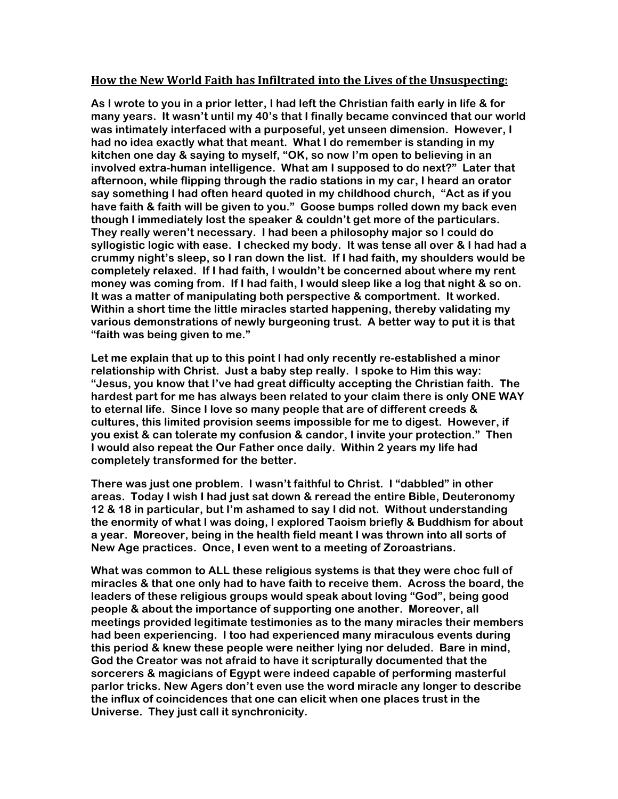## **How\$the\$New\$World\$Faith\$has\$Infiltrated\$into\$the\$Lives\$of\$the\$Unsuspecting:**

**As I wrote to you in a prior letter, I had left the Christian faith early in life & for many years. It wasn't until my 40's that I finally became convinced that our world was intimately interfaced with a purposeful, yet unseen dimension. However, I had no idea exactly what that meant. What I do remember is standing in my kitchen one day & saying to myself, "OK, so now I'm open to believing in an involved extra-human intelligence. What am I supposed to do next?" Later that afternoon, while flipping through the radio stations in my car, I heard an orator say something I had often heard quoted in my childhood church, "Act as if you have faith & faith will be given to you." Goose bumps rolled down my back even though I immediately lost the speaker & couldn't get more of the particulars. They really weren't necessary. I had been a philosophy major so I could do syllogistic logic with ease. I checked my body. It was tense all over & I had had a crummy night's sleep, so I ran down the list. If I had faith, my shoulders would be completely relaxed. If I had faith, I wouldn't be concerned about where my rent money was coming from. If I had faith, I would sleep like a log that night & so on. It was a matter of manipulating both perspective & comportment. It worked. Within a short time the little miracles started happening, thereby validating my various demonstrations of newly burgeoning trust. A better way to put it is that "faith was being given to me."** 

**Let me explain that up to this point I had only recently re-established a minor relationship with Christ. Just a baby step really. I spoke to Him this way: "Jesus, you know that I've had great difficulty accepting the Christian faith. The hardest part for me has always been related to your claim there is only ONE WAY to eternal life. Since I love so many people that are of different creeds & cultures, this limited provision seems impossible for me to digest. However, if you exist & can tolerate my confusion & candor, I invite your protection." Then I would also repeat the Our Father once daily. Within 2 years my life had completely transformed for the better.**

**There was just one problem. I wasn't faithful to Christ. I "dabbled" in other areas. Today I wish I had just sat down & reread the entire Bible, Deuteronomy 12 & 18 in particular, but I'm ashamed to say I did not. Without understanding the enormity of what I was doing, I explored Taoism briefly & Buddhism for about a year. Moreover, being in the health field meant I was thrown into all sorts of New Age practices. Once, I even went to a meeting of Zoroastrians.** 

**What was common to ALL these religious systems is that they were choc full of miracles & that one only had to have faith to receive them. Across the board, the leaders of these religious groups would speak about loving "God", being good people & about the importance of supporting one another. Moreover, all meetings provided legitimate testimonies as to the many miracles their members had been experiencing. I too had experienced many miraculous events during this period & knew these people were neither lying nor deluded. Bare in mind, God the Creator was not afraid to have it scripturally documented that the sorcerers & magicians of Egypt were indeed capable of performing masterful parlor tricks. New Agers don't even use the word miracle any longer to describe the influx of coincidences that one can elicit when one places trust in the Universe. They just call it synchronicity.**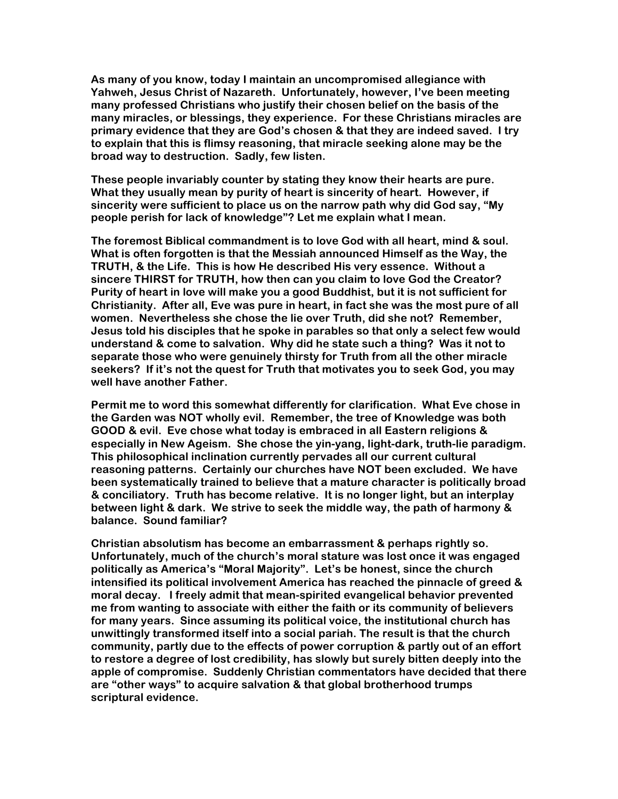**As many of you know, today I maintain an uncompromised allegiance with Yahweh, Jesus Christ of Nazareth. Unfortunately, however, I've been meeting many professed Christians who justify their chosen belief on the basis of the many miracles, or blessings, they experience. For these Christians miracles are primary evidence that they are God's chosen & that they are indeed saved. I try to explain that this is flimsy reasoning, that miracle seeking alone may be the broad way to destruction. Sadly, few listen.**

**These people invariably counter by stating they know their hearts are pure. What they usually mean by purity of heart is sincerity of heart. However, if sincerity were sufficient to place us on the narrow path why did God say, "My people perish for lack of knowledge"? Let me explain what I mean.**

**The foremost Biblical commandment is to love God with all heart, mind & soul. What is often forgotten is that the Messiah announced Himself as the Way, the TRUTH, & the Life. This is how He described His very essence. Without a sincere THIRST for TRUTH, how then can you claim to love God the Creator? Purity of heart in love will make you a good Buddhist, but it is not sufficient for Christianity. After all, Eve was pure in heart, in fact she was the most pure of all women. Nevertheless she chose the lie over Truth, did she not? Remember, Jesus told his disciples that he spoke in parables so that only a select few would understand & come to salvation. Why did he state such a thing? Was it not to separate those who were genuinely thirsty for Truth from all the other miracle seekers? If it's not the quest for Truth that motivates you to seek God, you may well have another Father.**

**Permit me to word this somewhat differently for clarification. What Eve chose in the Garden was NOT wholly evil. Remember, the tree of Knowledge was both GOOD & evil. Eve chose what today is embraced in all Eastern religions & especially in New Ageism. She chose the yin-yang, light-dark, truth-lie paradigm. This philosophical inclination currently pervades all our current cultural reasoning patterns. Certainly our churches have NOT been excluded. We have been systematically trained to believe that a mature character is politically broad & conciliatory. Truth has become relative. It is no longer light, but an interplay between light & dark. We strive to seek the middle way, the path of harmony & balance. Sound familiar?**

**Christian absolutism has become an embarrassment & perhaps rightly so. Unfortunately, much of the church's moral stature was lost once it was engaged politically as America's "Moral Majority". Let's be honest, since the church intensified its political involvement America has reached the pinnacle of greed & moral decay. I freely admit that mean-spirited evangelical behavior prevented me from wanting to associate with either the faith or its community of believers for many years. Since assuming its political voice, the institutional church has unwittingly transformed itself into a social pariah. The result is that the church community, partly due to the effects of power corruption & partly out of an effort to restore a degree of lost credibility, has slowly but surely bitten deeply into the apple of compromise. Suddenly Christian commentators have decided that there are "other ways" to acquire salvation & that global brotherhood trumps scriptural evidence.**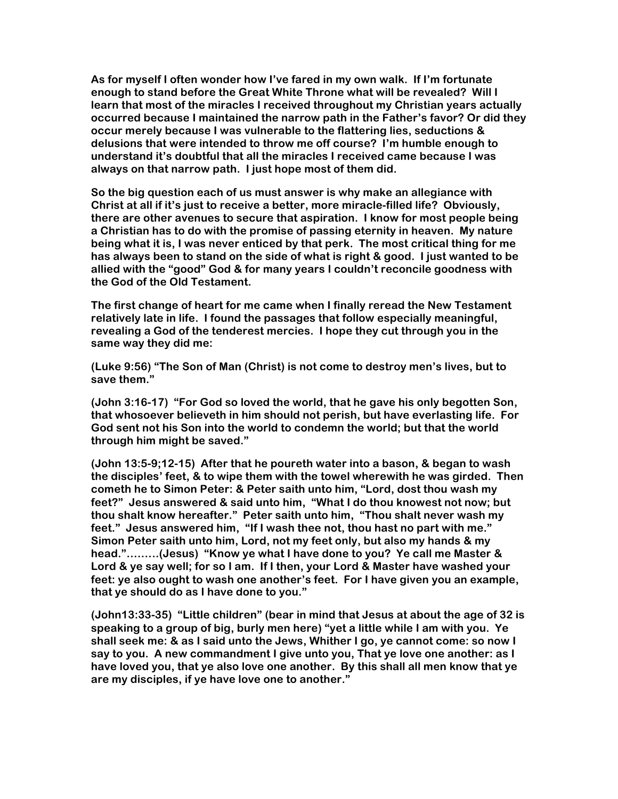**As for myself I often wonder how I've fared in my own walk. If I'm fortunate enough to stand before the Great White Throne what will be revealed? Will I learn that most of the miracles I received throughout my Christian years actually occurred because I maintained the narrow path in the Father's favor? Or did they occur merely because I was vulnerable to the flattering lies, seductions & delusions that were intended to throw me off course? I'm humble enough to understand it's doubtful that all the miracles I received came because I was always on that narrow path. I just hope most of them did.**

**So the big question each of us must answer is why make an allegiance with Christ at all if it's just to receive a better, more miracle-filled life? Obviously, there are other avenues to secure that aspiration. I know for most people being a Christian has to do with the promise of passing eternity in heaven. My nature being what it is, I was never enticed by that perk. The most critical thing for me has always been to stand on the side of what is right & good. I just wanted to be allied with the "good" God & for many years I couldn't reconcile goodness with the God of the Old Testament.**

**The first change of heart for me came when I finally reread the New Testament relatively late in life. I found the passages that follow especially meaningful, revealing a God of the tenderest mercies. I hope they cut through you in the same way they did me:**

**(Luke 9:56) "The Son of Man (Christ) is not come to destroy men's lives, but to save them."**

**(John 3:16-17) "For God so loved the world, that he gave his only begotten Son, that whosoever believeth in him should not perish, but have everlasting life. For God sent not his Son into the world to condemn the world; but that the world through him might be saved."**

**(John 13:5-9;12-15) After that he poureth water into a bason, & began to wash the disciples' feet, & to wipe them with the towel wherewith he was girded. Then cometh he to Simon Peter: & Peter saith unto him, "Lord, dost thou wash my feet?" Jesus answered & said unto him, "What I do thou knowest not now; but thou shalt know hereafter." Peter saith unto him, "Thou shalt never wash my feet." Jesus answered him, "If I wash thee not, thou hast no part with me." Simon Peter saith unto him, Lord, not my feet only, but also my hands & my head."….…..(Jesus) "Know ye what I have done to you? Ye call me Master & Lord & ye say well; for so I am. If I then, your Lord & Master have washed your feet: ye also ought to wash one another's feet. For I have given you an example, that ye should do as I have done to you."**

**(John13:33-35) "Little children" (bear in mind that Jesus at about the age of 32 is speaking to a group of big, burly men here) "yet a little while I am with you. Ye shall seek me: & as I said unto the Jews, Whither I go, ye cannot come: so now I say to you. A new commandment I give unto you, That ye love one another: as I have loved you, that ye also love one another. By this shall all men know that ye are my disciples, if ye have love one to another."**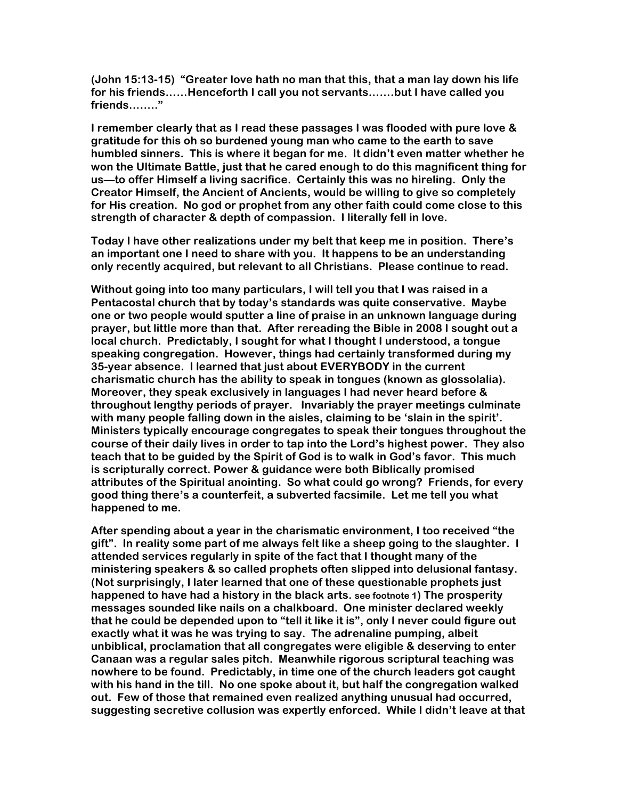**(John 15:13-15) "Greater love hath no man that this, that a man lay down his life for his friends……Henceforth I call you not servants…….but I have called you friends…….."** 

**I remember clearly that as I read these passages I was flooded with pure love & gratitude for this oh so burdened young man who came to the earth to save humbled sinners. This is where it began for me. It didn't even matter whether he won the Ultimate Battle, just that he cared enough to do this magnificent thing for us—to offer Himself a living sacrifice. Certainly this was no hireling. Only the Creator Himself, the Ancient of Ancients, would be willing to give so completely for His creation. No god or prophet from any other faith could come close to this strength of character & depth of compassion. I literally fell in love.**

**Today I have other realizations under my belt that keep me in position. There's an important one I need to share with you. It happens to be an understanding only recently acquired, but relevant to all Christians. Please continue to read.**

**Without going into too many particulars, I will tell you that I was raised in a Pentacostal church that by today's standards was quite conservative. Maybe one or two people would sputter a line of praise in an unknown language during prayer, but little more than that. After rereading the Bible in 2008 I sought out a local church. Predictably, I sought for what I thought I understood, a tongue speaking congregation. However, things had certainly transformed during my 35-year absence. I learned that just about EVERYBODY in the current charismatic church has the ability to speak in tongues (known as glossolalia). Moreover, they speak exclusively in languages I had never heard before & throughout lengthy periods of prayer. Invariably the prayer meetings culminate with many people falling down in the aisles, claiming to be 'slain in the spirit'. Ministers typically encourage congregates to speak their tongues throughout the course of their daily lives in order to tap into the Lord's highest power. They also teach that to be guided by the Spirit of God is to walk in God's favor. This much is scripturally correct. Power & guidance were both Biblically promised attributes of the Spiritual anointing. So what could go wrong? Friends, for every good thing there's a counterfeit, a subverted facsimile. Let me tell you what happened to me.**

**After spending about a year in the charismatic environment, I too received "the gift". In reality some part of me always felt like a sheep going to the slaughter. I attended services regularly in spite of the fact that I thought many of the ministering speakers & so called prophets often slipped into delusional fantasy. (Not surprisingly, I later learned that one of these questionable prophets just happened to have had a history in the black arts. see footnote 1) The prosperity messages sounded like nails on a chalkboard. One minister declared weekly that he could be depended upon to "tell it like it is", only I never could figure out exactly what it was he was trying to say. The adrenaline pumping, albeit unbiblical, proclamation that all congregates were eligible & deserving to enter Canaan was a regular sales pitch. Meanwhile rigorous scriptural teaching was nowhere to be found. Predictably, in time one of the church leaders got caught with his hand in the till. No one spoke about it, but half the congregation walked out. Few of those that remained even realized anything unusual had occurred, suggesting secretive collusion was expertly enforced. While I didn't leave at that**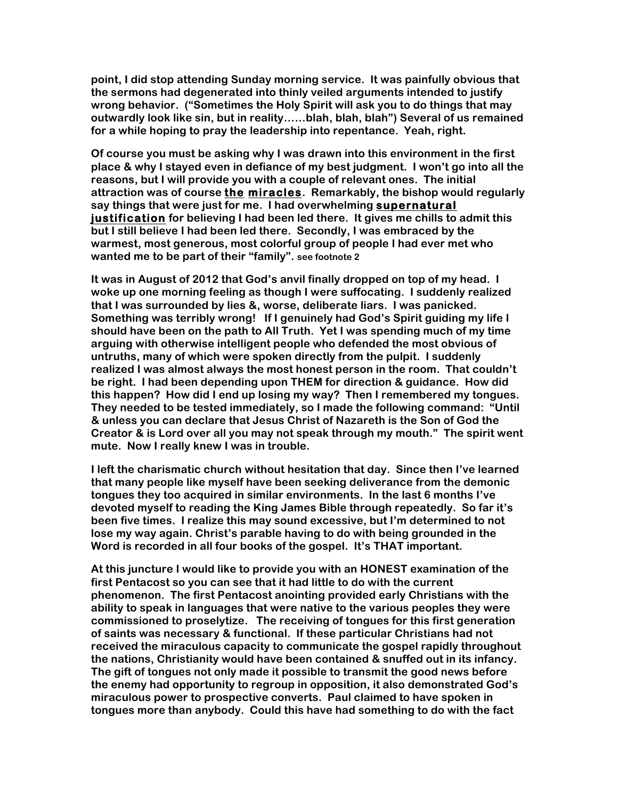**point, I did stop attending Sunday morning service. It was painfully obvious that the sermons had degenerated into thinly veiled arguments intended to justify wrong behavior. ("Sometimes the Holy Spirit will ask you to do things that may outwardly look like sin, but in reality……blah, blah, blah") Several of us remained for a while hoping to pray the leadership into repentance. Yeah, right.**

**Of course you must be asking why I was drawn into this environment in the first place & why I stayed even in defiance of my best judgment. I won't go into all the reasons, but I will provide you with a couple of relevant ones. The initial attraction was of course the miracles. Remarkably, the bishop would regularly say things that were just for me. I had overwhelming supernatural justification for believing I had been led there. It gives me chills to admit this but I still believe I had been led there. Secondly, I was embraced by the warmest, most generous, most colorful group of people I had ever met who wanted me to be part of their "family". see footnote 2**

**It was in August of 2012 that God's anvil finally dropped on top of my head. I woke up one morning feeling as though I were suffocating. I suddenly realized that I was surrounded by lies &, worse, deliberate liars. I was panicked. Something was terribly wrong! If I genuinely had God's Spirit guiding my life I should have been on the path to All Truth. Yet I was spending much of my time arguing with otherwise intelligent people who defended the most obvious of untruths, many of which were spoken directly from the pulpit. I suddenly realized I was almost always the most honest person in the room. That couldn't be right. I had been depending upon THEM for direction & guidance. How did this happen? How did I end up losing my way? Then I remembered my tongues. They needed to be tested immediately, so I made the following command: "Until & unless you can declare that Jesus Christ of Nazareth is the Son of God the Creator & is Lord over all you may not speak through my mouth." The spirit went mute. Now I really knew I was in trouble.**

**I left the charismatic church without hesitation that day. Since then I've learned that many people like myself have been seeking deliverance from the demonic tongues they too acquired in similar environments. In the last 6 months I've devoted myself to reading the King James Bible through repeatedly. So far it's been five times. I realize this may sound excessive, but I'm determined to not lose my way again. Christ's parable having to do with being grounded in the Word is recorded in all four books of the gospel. It's THAT important.** 

**At this juncture I would like to provide you with an HONEST examination of the first Pentacost so you can see that it had little to do with the current phenomenon. The first Pentacost anointing provided early Christians with the ability to speak in languages that were native to the various peoples they were commissioned to proselytize. The receiving of tongues for this first generation of saints was necessary & functional. If these particular Christians had not received the miraculous capacity to communicate the gospel rapidly throughout the nations, Christianity would have been contained & snuffed out in its infancy. The gift of tongues not only made it possible to transmit the good news before the enemy had opportunity to regroup in opposition, it also demonstrated God's miraculous power to prospective converts. Paul claimed to have spoken in tongues more than anybody. Could this have had something to do with the fact**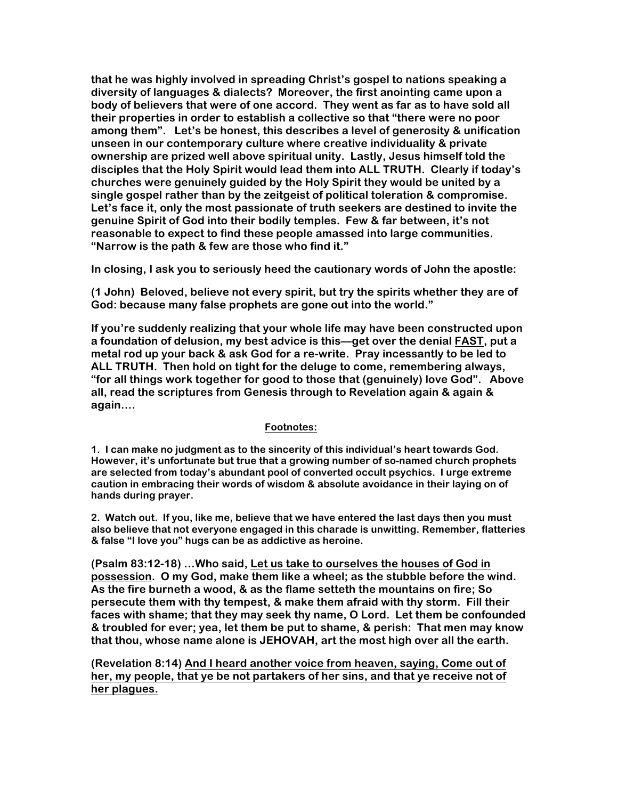**that he was highly involved in spreading Christ's gospel to nations speaking a diversity of languages & dialects? Moreover, the first anointing came upon a body of believers that were of one accord. They went as far as to have sold all their properties in order to establish a collective so that "there were no poor among them". Let's be honest, this describes a level of generosity & unification unseen in our contemporary culture where creative individuality & private ownership are prized well above spiritual unity. Lastly, Jesus himself told the disciples that the Holy Spirit would lead them into ALL TRUTH. Clearly if today's churches were genuinely guided by the Holy Spirit they would be united by a single gospel rather than by the zeitgeist of political toleration & compromise. Let's face it, only the most passionate of truth seekers are destined to invite the genuine Spirit of God into their bodily temples. Few & far between, it's not reasonable to expect to find these people amassed into large communities. "Narrow is the path & few are those who find it."**

**In closing, I ask you to seriously heed the cautionary words of John the apostle:**

**(1 John) Beloved, believe not every spirit, but try the spirits whether they are of God: because many false prophets are gone out into the world."** 

**If you're suddenly realizing that your whole life may have been constructed upon a foundation of delusion, my best advice is this—get over the denial FAST, put a metal rod up your back & ask God for a re-write. Pray incessantly to be led to ALL TRUTH. Then hold on tight for the deluge to come, remembering always, "for all things work together for good to those that (genuinely) love God". Above all, read the scriptures from Genesis through to Revelation again & again & again….**

## **Footnotes:**

**1. I can make no judgment as to the sincerity of this individual's heart towards God. However, it's unfortunate but true that a growing number of so-named church prophets are selected from today's abundant pool of converted occult psychics. I urge extreme caution in embracing their words of wisdom & absolute avoidance in their laying on of hands during prayer.** 

**2. Watch out. If you, like me, believe that we have entered the last days then you must also believe that not everyone engaged in this charade is unwitting. Remember, flatteries & false "I love you" hugs can be as addictive as heroine.**

**(Psalm 83:12-18) …Who said, Let us take to ourselves the houses of God in possession. O my God, make them like a wheel; as the stubble before the wind. As the fire burneth a wood, & as the flame setteth the mountains on fire; So persecute them with thy tempest, & make them afraid with thy storm. Fill their faces with shame; that they may seek thy name, O Lord. Let them be confounded & troubled for ever; yea, let them be put to shame, & perish: That men may know that thou, whose name alone is JEHOVAH, art the most high over all the earth.**

**(Revelation 8:14) And I heard another voice from heaven, saying, Come out of her, my people, that ye be not partakers of her sins, and that ye receive not of her plagues.**